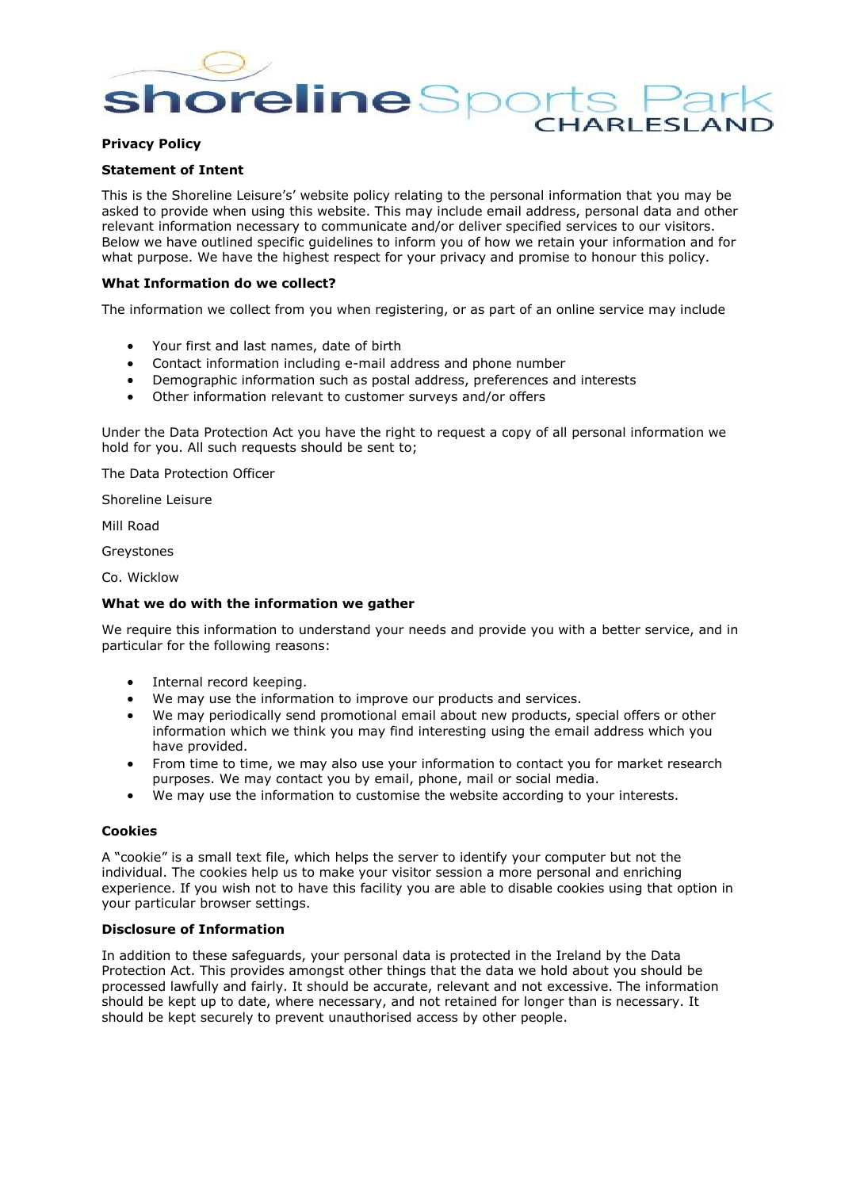**oreline**Spor **CHARLESLAI** 

# **Privacy Policy**

# **Statement of Intent**

This is the Shoreline Leisure's' website policy relating to the personal information that you may be asked to provide when using this website. This may include email address, personal data and other relevant information necessary to communicate and/or deliver specified services to our visitors. Below we have outlined specific guidelines to inform you of how we retain your information and for what purpose. We have the highest respect for your privacy and promise to honour this policy.

### **What Information do we collect?**

The information we collect from you when registering, or as part of an online service may include

- Your first and last names, date of birth
- Contact information including e-mail address and phone number
- Demographic information such as postal address, preferences and interests
- Other information relevant to customer surveys and/or offers

Under the Data Protection Act you have the right to request a copy of all personal information we hold for you. All such requests should be sent to;

The Data Protection Officer

Shoreline Leisure

Mill Road

Greystones

Co. Wicklow

#### **What we do with the information we gather**

We require this information to understand your needs and provide you with a better service, and in particular for the following reasons:

- Internal record keeping.
- We may use the information to improve our products and services.
- We may periodically send promotional email about new products, special offers or other information which we think you may find interesting using the email address which you have provided.
- From time to time, we may also use your information to contact you for market research purposes. We may contact you by email, phone, mail or social media.
- We may use the information to customise the website according to your interests.

#### **Cookies**

A "cookie" is a small text file, which helps the server to identify your computer but not the individual. The cookies help us to make your visitor session a more personal and enriching experience. If you wish not to have this facility you are able to disable cookies using that option in your particular browser settings.

# **Disclosure of Information**

In addition to these safeguards, your personal data is protected in the Ireland by the Data Protection Act. This provides amongst other things that the data we hold about you should be processed lawfully and fairly. It should be accurate, relevant and not excessive. The information should be kept up to date, where necessary, and not retained for longer than is necessary. It should be kept securely to prevent unauthorised access by other people.